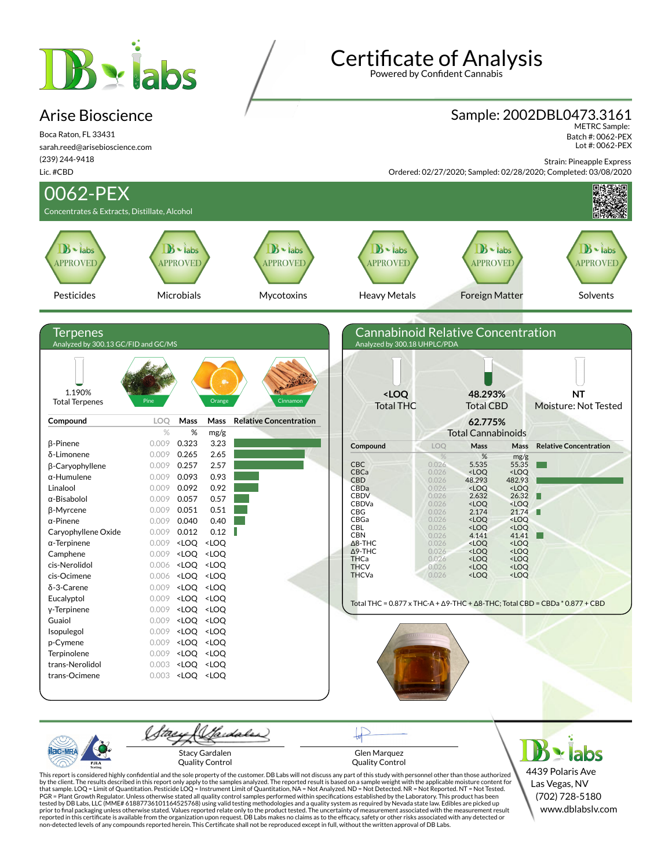# **B** viabs

## Arise Bioscience

Boca Raton, FL 33431 sarah.reed@arisebioscience.com (239) 244-9418 Lic. #CBD

Certificate of Analysis

Powered by Confident Cannabis

#### Sample: 2002DBL0473.3161

METRC Sample: Batch #: 0062-PEX Lot #: 0062-PEX

Strain: Pineapple Express

Ordered: 02/27/2020; Sampled: 02/28/2020; Completed: 03/08/2020



Stacy Gardalen Quality Control

Glen Marquez Quality Control

4439 Polaris Ave Las Vegas, NV (702) 728-5180 www.dblabslv.com

This report is considered highly confidential and the sole property of the customer. DB Labs will not discuss any part of this study with personnel other than those authorized<br>by the client. The results described in this r tested by DB Labs, LLC (MME# 61887736101164525768) using valid testing methodologies and a quality system as required by Nevada state law. Edibles are picked up<br>prior to final packaging unless otherwise stated. Values repo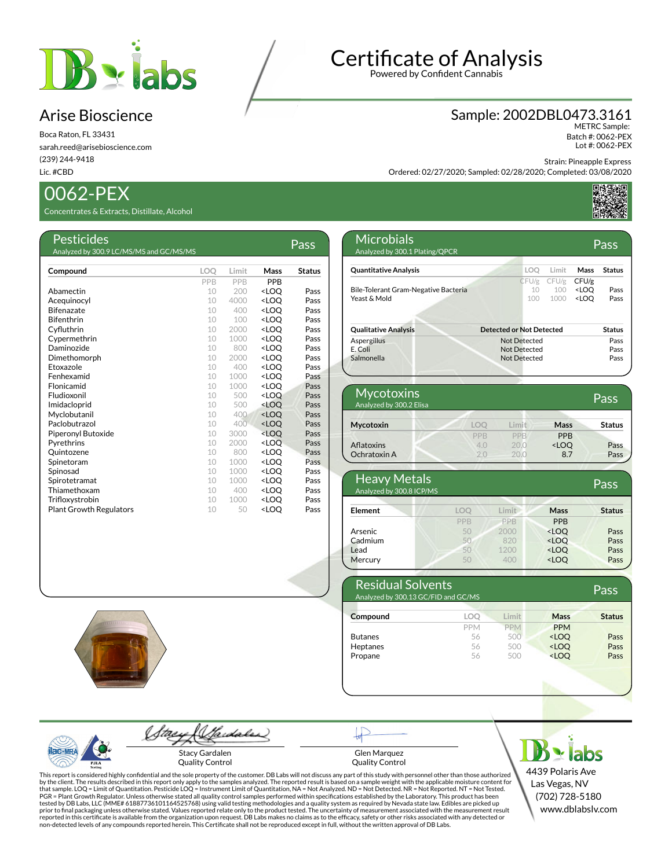

### Arise Bioscience

Boca Raton, FL 33431 sarah.reed@arisebioscience.com (239) 244-9418 Lic. #CBD

# 0062-PEX

Pesticides

**Etoxazole** 

Spirotetramat

Concentrates & Extracts, Distillate, Alcohol

PESLICIUES<br>Analyzed by 300.9 LC/MS/MS and GC/MS/MS

**Compound LOQ Limit Mass Status**

Abamectin 10 200 <LOQ Pass<br>
Acequinocyl 10 4000 <LOQ Pass Acequinocyl 10 4000 <LOQ Pass<br>Bifenazate 10 400 <LOO Pass Bifenazate 10 400 <LOO Pass Bifenthrin 10 100 <LOQ Pass Cyfluthrin 10 2000 <LOQ Pass Cypermethrin 10 1000 <LOQ Pass<br>
Daminozide 10 800 <LOO Pass

Dimethomorph 10 2000 <LOQ Pass<br>Etoxazole 10 400 <LOQ Pass

Fenhexamid 10 1000 <LOO Pass Flonicamid 10 1000 <LOO Pass Fludioxonil 10 500 <LOQ Pass<br>10 500 <LOQ Pass<br>10 500 <LOQ Pass Imidacloprid 10 500 <LOQ Pass<br>Myclobutanil 10 400 <LOQ Pass Myclobutanil 10 400 <LOQ Pass<br>Paclobutrazol 10 400 <LOO Pass Paclobutrazol 10 400 <LOO

Piperonyl Butoxide 10 3000 <LOQ Pass<br>
Pyrethrins 10 2000 <LOQ Pass Pyrethrins 2000 <LOQ Pass Quintozene 10 800 <LOQ Pass  $\begin{tabular}{lcccccc} Spinetoram & & & & & 10 & 1000 & & & & & & & \textbf{Pass} \\ Spinosad & & & & & & 10 & 1000 & & & & & \textbf{C} \textbf{Log} & & & \textbf{Pass} \\ \end{tabular}$ Spinosad 10 1000 <LOQ Pass<br>
Spirotetramat 10 1000 <LOQ Pass

Thiamethoxam 10 400 <LOO Pass Trifloxystrobin 10 1000 <LOQ Pass<br>
Plant Growth Regulators 10 50 <LOO Pass Plant Growth Regulators 10 50 <LOQ

Daminozide 10 800

PPB PPB PPB

# Certificate of Analysis

Powered by Confident Cannabis

#### Sample: 2002DBL0473.3161

METRC Sample: Batch #: 0062-PEX Lot #: 0062-PEX

Strain: Pineapple Express

Ordered: 02/27/2020; Sampled: 02/28/2020; Completed: 03/08/2020



| <b>Microbials</b><br>Analyzed by 300.1 Plating/QPCR  |                                 |                      |                                                                     | Pass          |
|------------------------------------------------------|---------------------------------|----------------------|---------------------------------------------------------------------|---------------|
| <b>Quantitative Analysis</b>                         | LOO                             | Limit                | Mass                                                                | <b>Status</b> |
| Bile-Tolerant Gram-Negative Bacteria<br>Yeast & Mold | CFU/g<br>10<br>100              | CFU/g<br>100<br>1000 | CFU/g<br><loo<br><loo< td=""><td>Pass<br/>Pass</td></loo<></loo<br> | Pass<br>Pass  |
| <b>Qualitative Analysis</b>                          | <b>Detected or Not Detected</b> |                      |                                                                     | <b>Status</b> |
| Aspergillus                                          | Not Detected                    |                      |                                                                     | Pass          |
| E. Coli                                              | Not Detected                    |                      |                                                                     | Pass          |
| Salmonella                                           | Not Detected                    |                      |                                                                     | Pass          |

| <b>Mycotoxins</b><br>Analyzed by 300.2 Elisa |     |       |                                  | Pass          |
|----------------------------------------------|-----|-------|----------------------------------|---------------|
| Mycotoxin                                    | LOO | Limit | Mass                             | <b>Status</b> |
|                                              | PPB | PPB   | <b>PPB</b>                       |               |
| <b>Aflatoxins</b>                            | 4.0 | 20.0  | <loq< td=""><td>Pass</td></loq<> | Pass          |
| Ochratoxin A                                 |     | 20.0  | 8.7                              | Pass          |

| <b>Heavy Metals</b><br>Analyzed by 300.8 ICP/MS |     |       |            | Pass          |
|-------------------------------------------------|-----|-------|------------|---------------|
| Element                                         | LOO | Limit | Mass       | <b>Status</b> |
|                                                 | PPB | PPB   | <b>PPB</b> |               |
| Arsenic                                         | 50  | 2000  | $<$ LOO    | Pass          |
| Cadmium                                         | 50  | 820   | $<$ LOO    | Pass          |
| Lead                                            | 50  | 1200  | $<$ LOQ    | Pass          |
| Mercury                                         | 50  | 400   | $<$ LOO    | Pass          |

| <b>Residual Solvents</b><br>Analyzed by 300.13 GC/FID and GC/MS |            |            |                                  | Pass          |  |
|-----------------------------------------------------------------|------------|------------|----------------------------------|---------------|--|
| Compound                                                        | LOQ        | Limit      | Mass                             | <b>Status</b> |  |
|                                                                 | <b>PPM</b> | <b>PPM</b> | <b>PPM</b>                       |               |  |
| <b>Butanes</b>                                                  | 56         | 500        | <loq< td=""><td>Pass</td></loq<> | Pass          |  |
| Heptanes                                                        | 56         | 500        | <loq< td=""><td>Pass</td></loq<> | Pass          |  |
| Propane                                                         | 56         | 500        | <loq< td=""><td>Pass</td></loq<> | Pass          |  |





Glen Marquez Quality Control

This report is considered highly confidential and the sole property of the customer. DB Labs will not discuss any part of this study with personnel other than those authorized<br>by the client. The results described in this r tested by DB Labs, LLC (MME# 61887736101164525768) using valid testing methodologies and a quality system as required by Nevada state law. Edibles are picked up<br>prior to final packaging unless otherwise stated. Values repo